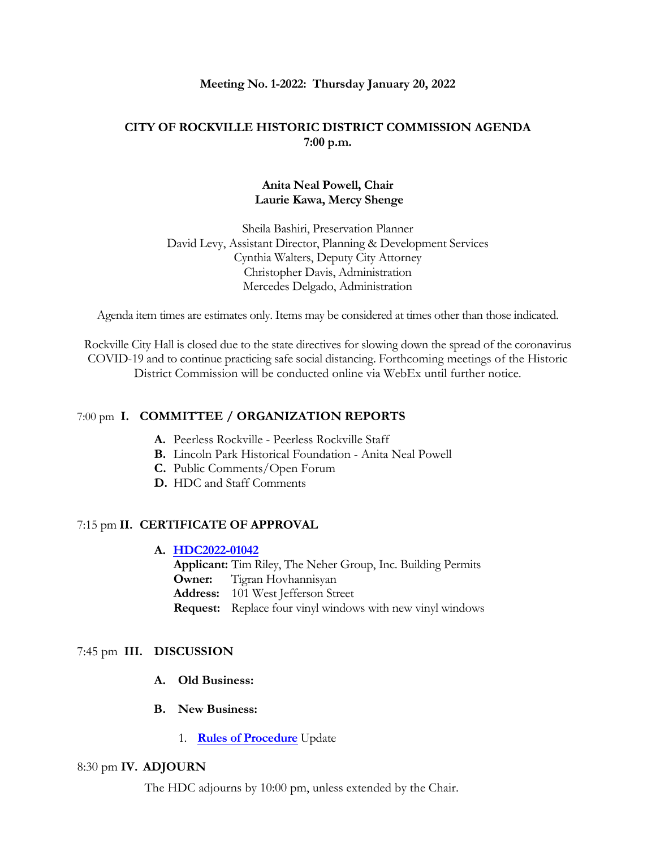#### **Meeting No. 1-2022: Thursday January 20, 2022**

## **CITY OF ROCKVILLE HISTORIC DISTRICT COMMISSION AGENDA 7:00 p.m.**

### **Anita Neal Powell, Chair Laurie Kawa, Mercy Shenge**

Sheila Bashiri, Preservation Planner David Levy, Assistant Director, Planning & Development Services Cynthia Walters, Deputy City Attorney Christopher Davis, Administration Mercedes Delgado, Administration

Agenda item times are estimates only. Items may be considered at times other than those indicated.

Rockville City Hall is closed due to the state directives for slowing down the spread of the coronavirus COVID-19 and to continue practicing safe social distancing. Forthcoming meetings of the Historic District Commission will be conducted online via WebEx until further notice.

#### 7:00 pm **I. COMMITTEE / ORGANIZATION REPORTS**

- **A.** Peerless Rockville Peerless Rockville Staff
- **B.** Lincoln Park Historical Foundation Anita Neal Powell
- **C.** Public Comments/Open Forum
- **D.** HDC and Staff Comments

## 7:15 pm **II. CERTIFICATE OF APPROVAL**

### **A. [HDC2022-01042](https://www.rockvillemd.gov/DocumentCenter/View/43974/101-W-Jefferson-Street-HDC2022-01042-Staff-Report-Web-Version)**

**Applicant:** Tim Riley, The Neher Group, Inc. Building Permits

**Owner:** Tigran Hovhannisyan

**Address:** 101 West Jefferson Street

**Request:** Replace four vinyl windows with new vinyl windows

#### 7:45 pm **III. DISCUSSION**

- **A. Old Business:**
- **B. New Business:**
	- 1. **Rules [of Procedure](https://www.rockvillemd.gov/DocumentCenter/View/43977/Adopted-Rules-of-Procedure-112014)** Update

#### 8:30 pm **IV. ADJOURN**

The HDC adjourns by 10:00 pm, unless extended by the Chair.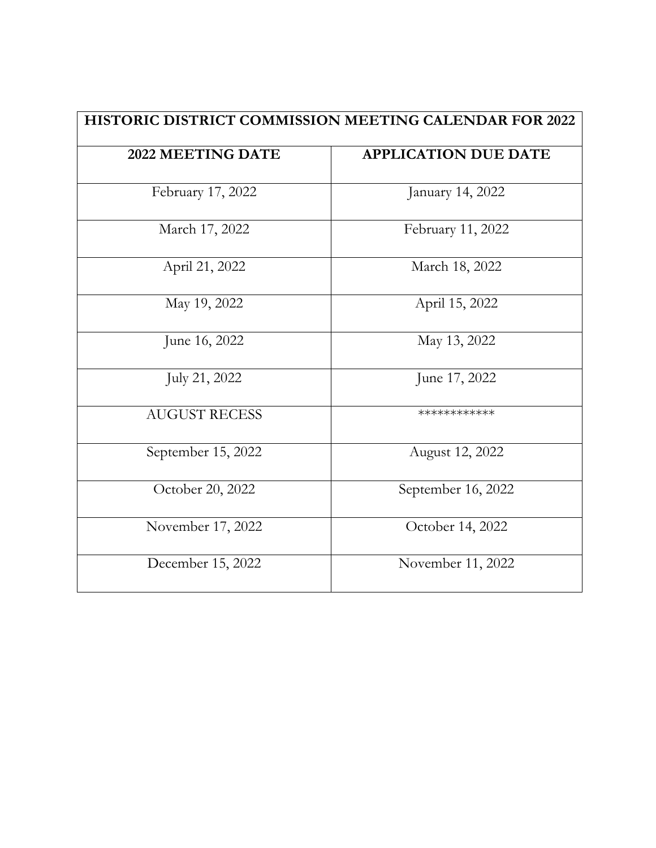| <b>HISTORIC DISTRICT COMMISSION MEETING CALENDAR FOR 2022</b> |                             |
|---------------------------------------------------------------|-----------------------------|
| 2022 MEETING DATE                                             | <b>APPLICATION DUE DATE</b> |
| February 17, 2022                                             | January 14, 2022            |
| March 17, 2022                                                | February 11, 2022           |
| April 21, 2022                                                | March 18, 2022              |
| May 19, 2022                                                  | April 15, 2022              |
| June 16, 2022                                                 | May 13, 2022                |
| July 21, 2022                                                 | June 17, 2022               |
| <b>AUGUST RECESS</b>                                          | ************                |
| September 15, 2022                                            | August 12, 2022             |
| October 20, 2022                                              | September 16, 2022          |
| November 17, 2022                                             | October 14, 2022            |
| December 15, 2022                                             | November 11, 2022           |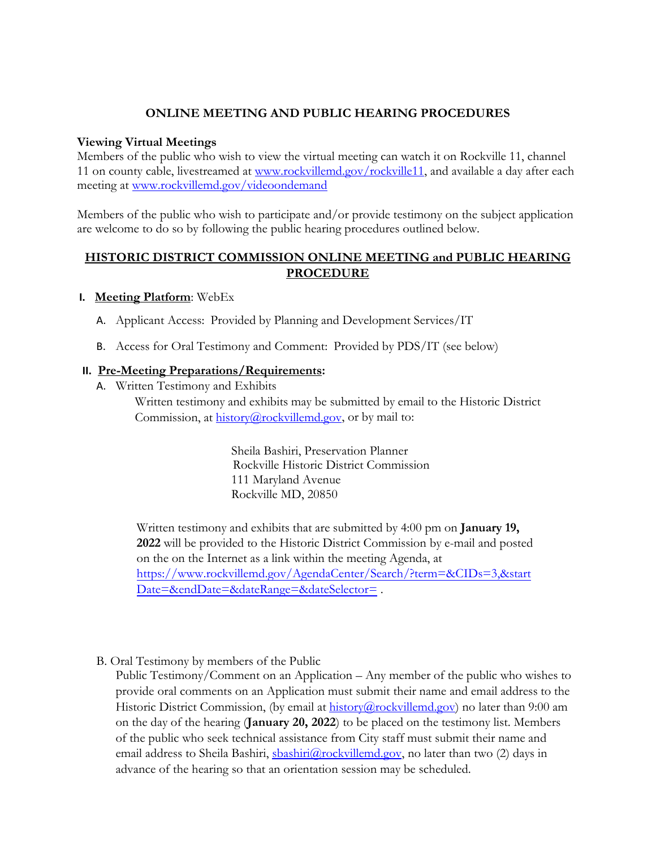# **ONLINE MEETING AND PUBLIC HEARING PROCEDURES**

### **Viewing Virtual Meetings**

Members of the public who wish to view the virtual meeting can watch it on Rockville 11, channel 11 on county cable, livestreamed at [www.rockvillemd.gov/rockville11,](http://www.rockvillemd.gov/rockville11) and available a day after each meeting at [www.rockvillemd.gov/videoondemand](http://www.rockvillemd.gov/videoondemand)

Members of the public who wish to participate and/or provide testimony on the subject application are welcome to do so by following the public hearing procedures outlined below.

## **HISTORIC DISTRICT COMMISSION ONLINE MEETING and PUBLIC HEARING PROCEDURE**

### **I. Meeting Platform**: WebEx

- A. Applicant Access: Provided by Planning and Development Services/IT
- B. Access for Oral Testimony and Comment: Provided by PDS/IT (see below)

## **II. Pre-Meeting Preparations/Requirements:**

A. Written Testimony and Exhibits

Written testimony and exhibits may be submitted by email to the Historic District Commission, at [history@rockvillemd.gov,](mailto:history@rockvillemd.gov) or by mail to:

> Sheila Bashiri, Preservation Planner Rockville Historic District Commission 111 Maryland Avenue Rockville MD, 20850

Written testimony and exhibits that are submitted by 4:00 pm on **January 19, 2022** will be provided to the Historic District Commission by e-mail and posted on the on the Internet as a link within the meeting Agenda, at https://www.rockvillemd.gov/AgendaCenter/Search/?term=&CIDs=3,&start Date=&endDate=&dateRange=&dateSelector=.

B. Oral Testimony by members of the Public

Public Testimony/Comment on an Application – Any member of the public who wishes to provide oral comments on an Application must submit their name and email address to the Historic District Commission, (by email at [history@rockvillemd.gov\)](mailto:history@rockvillemd.gov) no later than 9:00 am on the day of the hearing (**January 20, 2022**) to be placed on the testimony list. Members of the public who seek technical assistance from City staff must submit their name and email address to Sheila Bashiri, [sbashiri@rockvillemd.gov,](mailto:sbashiri@rockvillemd.gov) no later than two (2) days in advance of the hearing so that an orientation session may be scheduled.